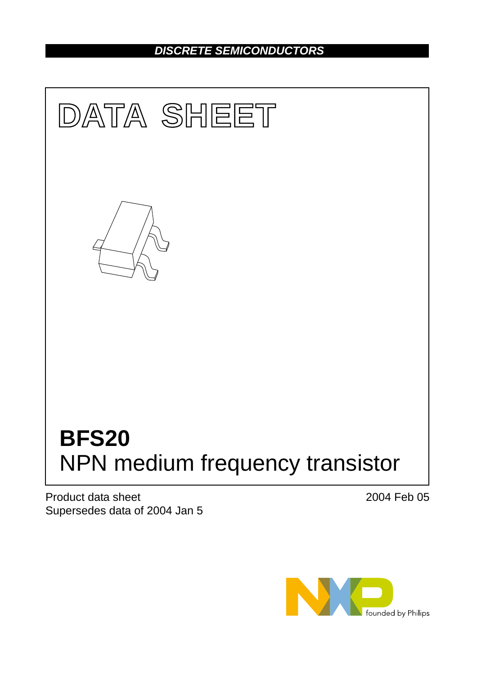### *DISCRETE SEMICONDUCTORS*



Product data sheet Supersedes data of 2004 Jan 5 2004 Feb 05

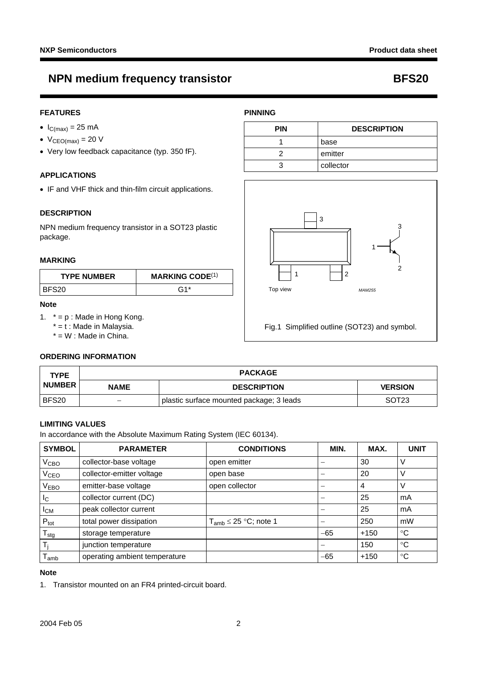### **NPN medium frequency transistor George Constructs RFS20**

### **FEATURES**

- $\bullet$  I<sub>C(max)</sub> = 25 mA
- $V_{CEO(max)} = 20 V$
- Very low feedback capacitance (typ. 350 fF).

### **APPLICATIONS**

• IF and VHF thick and thin-film circuit applications.

#### **DESCRIPTION**

NPN medium frequency transistor in a SOT23 plastic package.

#### **MARKING**

| <b>TYPE NUMBER</b> | <b>MARKING CODE(1)</b> |  |
|--------------------|------------------------|--|
| BFS20              | ር 1*                   |  |

#### **Note**

- <span id="page-1-0"></span>1.  $* = p$  : Made in Hong Kong.
	- $* = t$  : Made in Malaysia.

 $* = W$  : Made in China.

#### **ORDERING INFORMATION**

| <b>TYPE</b>   | <b>PACKAGE</b> |                                          |                   |
|---------------|----------------|------------------------------------------|-------------------|
| <b>NUMBER</b> | <b>NAME</b>    | <b>DESCRIPTION</b>                       | <b>VERSION</b>    |
| BFS20         |                | plastic surface mounted package; 3 leads | SOT <sub>23</sub> |

#### **LIMITING VALUES**

In accordance with the Absolute Maximum Rating System (IEC 60134).

| <b>SYMBOL</b>    | <b>PARAMETER</b>              | <b>CONDITIONS</b>                       | MIN.  | MAX.   | <b>UNIT</b> |
|------------------|-------------------------------|-----------------------------------------|-------|--------|-------------|
| $\rm V_{CBO}$    | collector-base voltage        | open emitter                            |       | 30     | V           |
| V <sub>CEO</sub> | collector-emitter voltage     | open base                               |       | 20     | ν           |
| V <sub>EBO</sub> | emitter-base voltage          | open collector                          |       | 4      | V           |
| $I_{\rm C}$      | collector current (DC)        |                                         |       | 25     | mA          |
| $I_{CM}$         | peak collector current        |                                         |       | 25     | mA          |
| $P_{\text{tot}}$ | total power dissipation       | $T_{\mathsf{amb}}$ $\leq$ 25 °C; note 1 |       | 250    | mW          |
| $T_{\text{stg}}$ | storage temperature           |                                         | $-65$ | $+150$ | °C          |
|                  | junction temperature          |                                         |       | 150    | °C          |
| l amb            | operating ambient temperature |                                         | $-65$ | $+150$ | °C          |

#### **Note**

<span id="page-1-1"></span>1. Transistor mounted on an FR4 printed-circuit board.



Fig.1 Simplified outline (SOT23) and symbol.

# **PINNING**

| <b>PIN</b> | <b>DESCRIPTION</b> |  |
|------------|--------------------|--|
|            | base               |  |
|            | emitter            |  |
|            | collector          |  |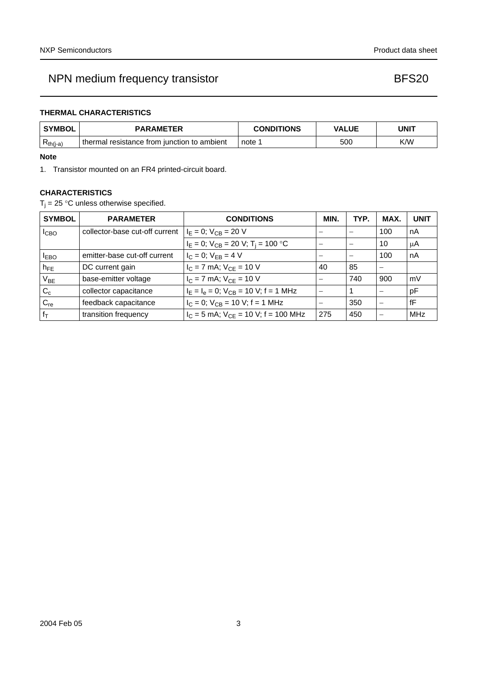## NPN medium frequency transistor **BFS20**

### **THERMAL CHARACTERISTICS**

| <b>SYMBOL</b> | <b>PARAMETER</b>                                 | <b>CONDITIONS</b> | <b>VALUE</b> | UNIT |  |
|---------------|--------------------------------------------------|-------------------|--------------|------|--|
| $R_{th(j-a)}$ | thermal<br>resistance from junction to ambient ' | note              | 500          | K/W  |  |

#### **Note**

<span id="page-2-0"></span>1. Transistor mounted on an FR4 printed-circuit board.

### **CHARACTERISTICS**

 $T_j = 25$  °C unless otherwise specified.

| <b>SYMBOL</b>   | <b>PARAMETER</b>               | <b>CONDITIONS</b>                            | <b>MIN</b>               | TYP. | MAX. | <b>UNIT</b> |
|-----------------|--------------------------------|----------------------------------------------|--------------------------|------|------|-------------|
| <b>I</b> CBO    | collector-base cut-off current | $I_E = 0$ ; $V_{CB} = 20$ V                  |                          |      | 100  | nA          |
|                 |                                | $I_E = 0$ ; $V_{CB} = 20$ V; $T_i = 100$ °C  |                          |      | 10   | μA          |
| $I_{EBO}$       | emitter-base cut-off current   | $I_C = 0$ ; $V_{EB} = 4 V$                   |                          |      | 100  | nA          |
| $h_{FE}$        | DC current gain                | $I_C = 7$ mA; $V_{CF} = 10$ V                | 40                       | 85   |      |             |
| V <sub>BE</sub> | base-emitter voltage           | $I_C = 7$ mA; $V_{CF} = 10$ V                |                          | 740  | 900  | mV          |
| $C_c$           | collector capacitance          | $I_E = I_e = 0$ ; $V_{CB} = 10$ V; f = 1 MHz | $\overline{\phantom{a}}$ |      |      | pF          |
| $C_{re}$        | feedback capacitance           | $I_C = 0$ ; $V_{CB} = 10$ V; f = 1 MHz       |                          | 350  |      | fF          |
| $f_{\text{T}}$  | transition frequency           | $I_C = 5$ mA; $V_{CF} = 10$ V; f = 100 MHz   | 275                      | 450  |      | MHz         |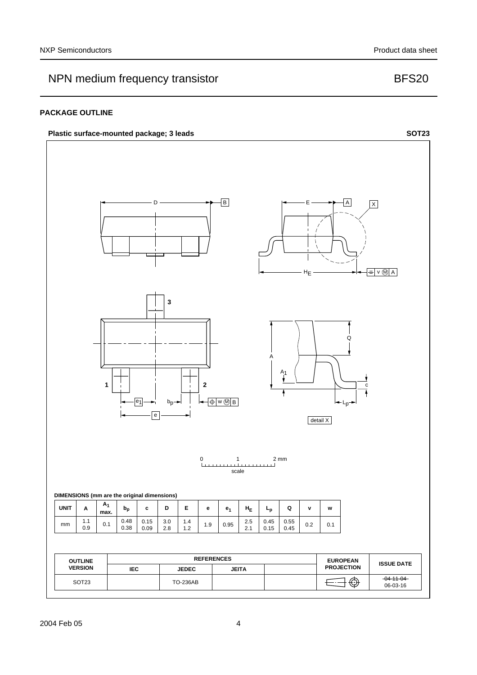## NPN medium frequency transistor **BFS20**

### **PACKAGE OUTLINE**

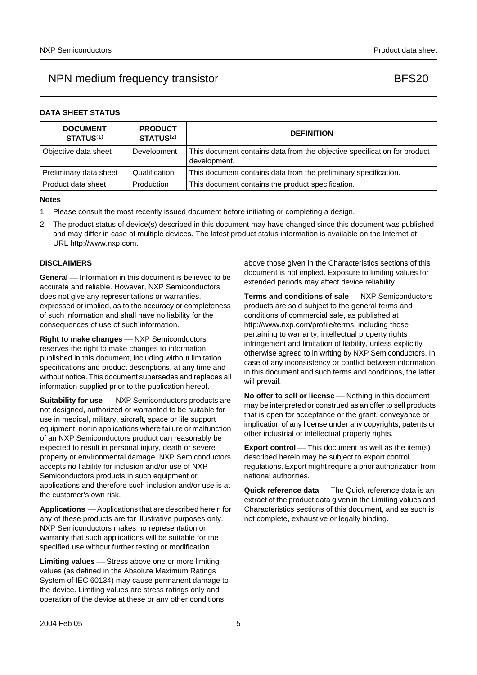### NPN medium frequency transistor **BFS20**

#### **DATA SHEET STATUS**

| <b>DOCUMENT</b><br><b>STATUS(1)</b> | <b>PRODUCT</b><br><b>STATUS(2)</b> | <b>DEFINITION</b>                                                                        |
|-------------------------------------|------------------------------------|------------------------------------------------------------------------------------------|
| Objective data sheet                | Development                        | This document contains data from the objective specification for product<br>development. |
| Preliminary data sheet              | Qualification                      | This document contains data from the preliminary specification.                          |
| Product data sheet                  | Production                         | This document contains the product specification.                                        |

#### **Notes**

- <span id="page-4-0"></span>1. Please consult the most recently issued document before initiating or completing a design.
- <span id="page-4-1"></span>2. The product status of device(s) described in this document may have changed since this document was published and may differ in case of multiple devices. The latest product status information is available on the Internet at URL http://www.nxp.com.

#### **DISCLAIMERS**

**General** — Information in this document is believed to be accurate and reliable. However, NXP Semiconductors does not give any representations or warranties, expressed or implied, as to the accuracy or completeness of such information and shall have no liability for the consequences of use of such information.

**Right to make changes** – NXP Semiconductors reserves the right to make changes to information published in this document, including without limitation specifications and product descriptions, at any time and without notice. This document supersedes and replaces all information supplied prior to the publication hereof.

**Suitability for use**  $-MXP$  Semiconductors products are not designed, authorized or warranted to be suitable for use in medical, military, aircraft, space or life support equipment, nor in applications where failure or malfunction of an NXP Semiconductors product can reasonably be expected to result in personal injury, death or severe property or environmental damage. NXP Semiconductors accepts no liability for inclusion and/or use of NXP Semiconductors products in such equipment or applications and therefore such inclusion and/or use is at the customer's own risk.

**Applications** ⎯ Applications that are described herein for any of these products are for illustrative purposes only. NXP Semiconductors makes no representation or warranty that such applications will be suitable for the specified use without further testing or modification.

**Limiting values** – Stress above one or more limiting values (as defined in the Absolute Maximum Ratings System of IEC 60134) may cause permanent damage to the device. Limiting values are stress ratings only and operation of the device at these or any other conditions

above those given in the Characteristics sections of this document is not implied. Exposure to limiting values for extended periods may affect device reliability.

**Terms and conditions of sale** - NXP Semiconductors products are sold subject to the general terms and conditions of commercial sale, as published at http://www.nxp.com/profile/terms, including those pertaining to warranty, intellectual property rights infringement and limitation of liability, unless explicitly [otherwise agreed to in writing by NXP Semiconductors. In](http://www.nxp.com/profile/terms)  case of any inconsistency or conflict between information in this document and such terms and conditions, the latter will prevail.

**No offer to sell or license** - Nothing in this document may be interpreted or construed as an offer to sell products that is open for acceptance or the grant, conveyance or implication of any license under any copyrights, patents or other industrial or intellectual property rights.

**Export control** — This document as well as the item(s) described herein may be subject to export control regulations. Export might require a prior authorization from national authorities.

**Quick reference data** — The Quick reference data is an extract of the product data given in the Limiting values and Characteristics sections of this document, and as such is not complete, exhaustive or legally binding.